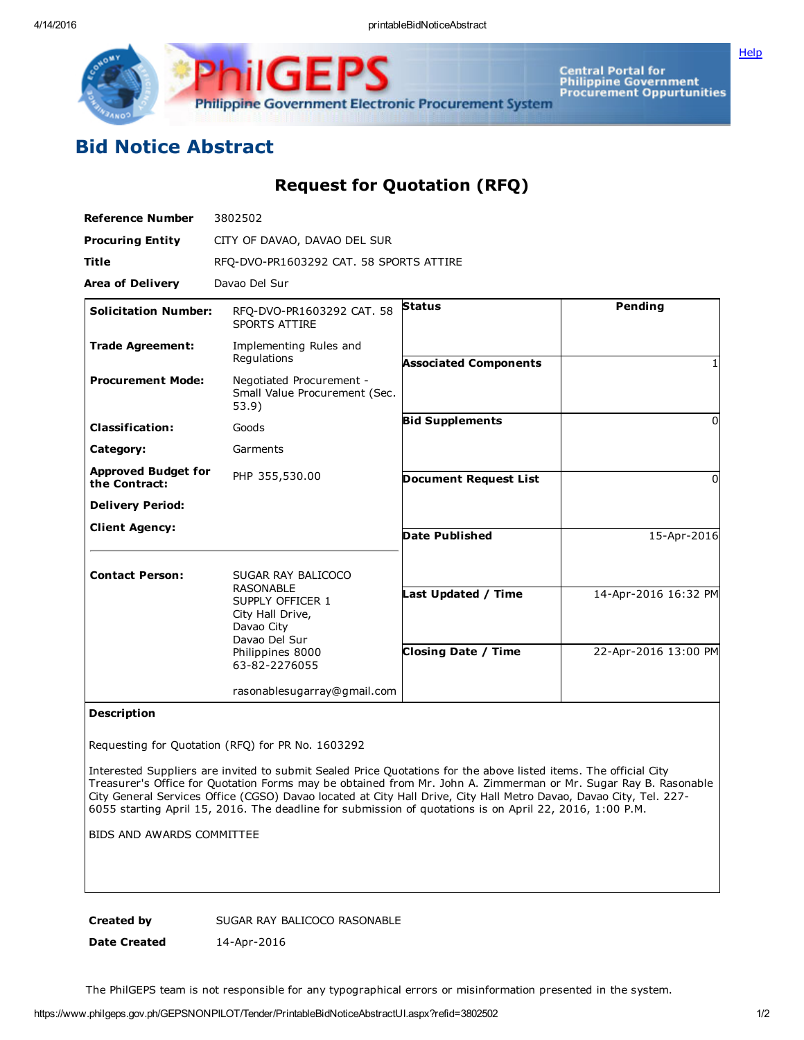Central Portal for<br>Philippine Government<br>Procurement Oppurtunities Philippine Government Electronic Procurement System

## Bid Notice Abstract

## Request for Quotation (RFQ)

| <b>Reference Number</b>                     | 3802502                                                                                      |                              |                      |
|---------------------------------------------|----------------------------------------------------------------------------------------------|------------------------------|----------------------|
| <b>Procuring Entity</b>                     | CITY OF DAVAO, DAVAO DEL SUR                                                                 |                              |                      |
| <b>Title</b>                                | RFQ-DVO-PR1603292 CAT. 58 SPORTS ATTIRE                                                      |                              |                      |
| <b>Area of Delivery</b>                     | Davao Del Sur                                                                                |                              |                      |
| <b>Solicitation Number:</b>                 | RFO-DVO-PR1603292 CAT. 58<br><b>SPORTS ATTIRE</b>                                            | <b>Status</b>                | Pending              |
| <b>Trade Agreement:</b>                     | Implementing Rules and<br>Regulations                                                        | <b>Associated Components</b> |                      |
| <b>Procurement Mode:</b>                    | Negotiated Procurement -<br>Small Value Procurement (Sec.<br>53.9)                           |                              |                      |
| <b>Classification:</b>                      | Goods                                                                                        | <b>Bid Supplements</b>       | 0                    |
| Category:                                   | Garments                                                                                     |                              |                      |
| <b>Approved Budget for</b><br>the Contract: | PHP 355,530.00                                                                               | <b>Document Request List</b> | 0                    |
| <b>Delivery Period:</b>                     |                                                                                              |                              |                      |
| <b>Client Agency:</b>                       |                                                                                              | <b>Date Published</b>        | 15-Apr-2016          |
| <b>Contact Person:</b>                      | SUGAR RAY BALICOCO<br><b>RASONABLE</b><br>SUPPLY OFFICER 1<br>City Hall Drive,<br>Davao City | Last Updated / Time          | 14-Apr-2016 16:32 PM |
|                                             | Davao Del Sur<br>Philippines 8000<br>63-82-2276055                                           | <b>Closing Date / Time</b>   | 22-Apr-2016 13:00 PM |
|                                             | rasonablesugarray@gmail.com                                                                  |                              |                      |

## Description

Requesting for Quotation (RFQ) for PR No. 1603292

Interested Suppliers are invited to submit Sealed Price Quotations for the above listed items. The official City Treasurer's Office for Quotation Forms may be obtained from Mr. John A. Zimmerman or Mr. Sugar Ray B. Rasonable City General Services Office (CGSO) Davao located at City Hall Drive, City Hall Metro Davao, Davao City, Tel. 227 6055 starting April 15, 2016. The deadline for submission of quotations is on April 22, 2016, 1:00 P.M.

BIDS AND AWARDS COMMITTEE

Created by SUGAR RAY BALICOCO RASONABLE

Date Created 14-Apr-2016

The PhilGEPS team is not responsible for any typographical errors or misinformation presented in the system.